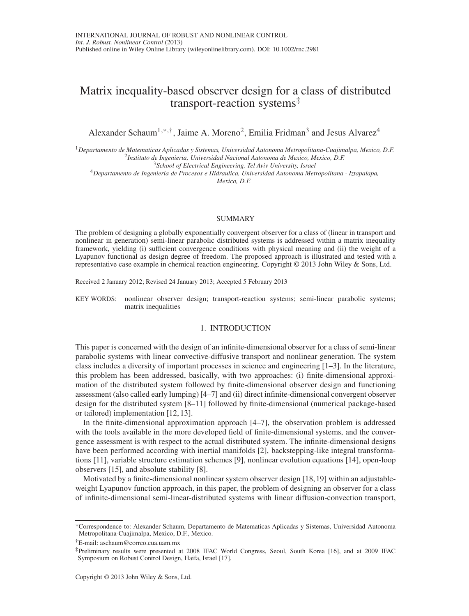# Matrix inequality-based observer design for a class of distributed transport-reaction systems‡

Alexander Schaum<sup>1,\*,†</sup>, Jaime A. Moreno<sup>2</sup>, Emilia Fridman<sup>3</sup> and Jesus Alvarez<sup>4</sup>

<sup>1</sup>Departamento de Matematicas Aplicadas y Sistemas, Universidad Autonoma Metropolitana-Cuajimalpa, Mexico, D.F.<br><sup>2</sup>Instituto de Ingenieria, Universidad Nacional Autonoma de Mexico, Mexico, D.F.<br><sup>3</sup>School of Electrical En

<sup>4</sup>*Departamento de Ingenieria de Procesos e Hidraulica, Universidad Autonoma Metropolitana - Iztapalapa, Mexico, D.F.*

## SUMMARY

The problem of designing a globally exponentially convergent observer for a class of (linear in transport and nonlinear in generation) semi-linear parabolic distributed systems is addressed within a matrix inequality framework, yielding (i) sufficient convergence conditions with physical meaning and (ii) the weight of a Lyapunov functional as design degree of freedom. The proposed approach is illustrated and tested with a representative case example in chemical reaction engineering. Copyright © 2013 John Wiley & Sons, Ltd.

Received 2 January 2012; Revised 24 January 2013; Accepted 5 February 2013

KEY WORDS: nonlinear observer design; transport-reaction systems; semi-linear parabolic systems; matrix inequalities

## 1. INTRODUCTION

This paper is concerned with the design of an infinite-dimensional observer for a class of semi-linear parabolic systems with linear convective-diffusive transport and nonlinear generation. The system class includes a diversity of important processes in science and engineering [1–3]. In the literature, this problem has been addressed, basically, with two approaches: (i) finite-dimensional approximation of the distributed system followed by finite-dimensional observer design and functioning assessment (also called early lumping) [4–7] and (ii) direct infinite-dimensional convergent observer design for the distributed system [8–11] followed by finite-dimensional (numerical package-based or tailored) implementation [12,13].

In the finite-dimensional approximation approach [4–7], the observation problem is addressed with the tools available in the more developed field of finite-dimensional systems, and the convergence assessment is with respect to the actual distributed system. The infinite-dimensional designs have been performed according with inertial manifolds [2], backstepping-like integral transformations [11], variable structure estimation schemes [9], nonlinear evolution equations [14], open-loop observers [15], and absolute stability [8].

Motivated by a finite-dimensional nonlinear system observer design [18,19] within an adjustableweight Lyapunov function approach, in this paper, the problem of designing an observer for a class of infinite-dimensional semi-linear-distributed systems with linear diffusion-convection transport,

<sup>\*</sup>Correspondence to: Alexander Schaum, Departamento de Matematicas Aplicadas y Sistemas, Universidad Autonoma Metropolitana-Cuajimalpa, Mexico, D.F., Mexico.

<sup>†</sup>E-mail: aschaum@correo.cua.uam.mx

<sup>‡</sup>Preliminary results were presented at 2008 IFAC World Congress, Seoul, South Korea [16], and at 2009 IFAC Symposium on Robust Control Design, Haifa, Israel [17].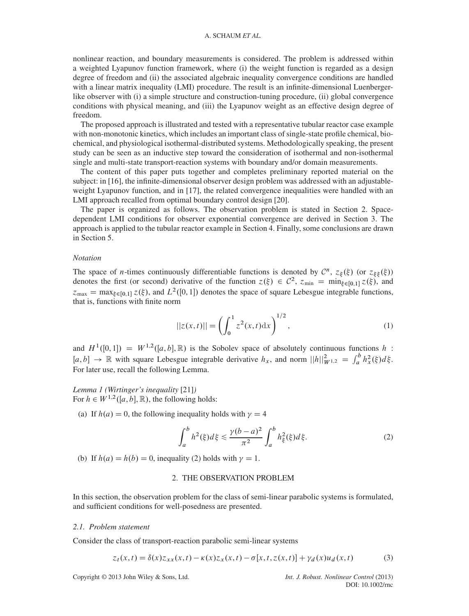nonlinear reaction, and boundary measurements is considered. The problem is addressed within a weighted Lyapunov function framework, where (i) the weight function is regarded as a design degree of freedom and (ii) the associated algebraic inequality convergence conditions are handled with a linear matrix inequality (LMI) procedure. The result is an infinite-dimensional Luenbergerlike observer with (i) a simple structure and construction-tuning procedure, (ii) global convergence conditions with physical meaning, and (iii) the Lyapunov weight as an effective design degree of freedom.

The proposed approach is illustrated and tested with a representative tubular reactor case example with non-monotonic kinetics, which includes an important class of single-state profile chemical, biochemical, and physiological isothermal-distributed systems. Methodologically speaking, the present study can be seen as an inductive step toward the consideration of isothermal and non-isothermal single and multi-state transport-reaction systems with boundary and/or domain measurements.

The content of this paper puts together and completes preliminary reported material on the subject: in [16], the infinite-dimensional observer design problem was addressed with an adjustableweight Lyapunov function, and in [17], the related convergence inequalities were handled with an LMI approach recalled from optimal boundary control design [20].

The paper is organized as follows. The observation problem is stated in Section 2. Spacedependent LMI conditions for observer exponential convergence are derived in Section 3. The approach is applied to the tubular reactor example in Section 4. Finally, some conclusions are drawn in Section 5.

## *Notation*

The space of *n*-times continuously differentiable functions is denoted by  $\mathcal{C}^n$ ,  $z_{\xi}(\xi)$  (or  $z_{\xi\xi}(\xi)$ ) denotes the first (or second) derivative of the function  $z(\xi) \in C^2$ ,  $z_{\min} = \min_{\xi \in [0,1]} z(\xi)$ , and  $z_{\text{max}} = \max_{\xi \in [0,1]} z(\xi)$ , and  $L^2([0,1])$  denotes the space of square Lebesgue integrable functions, that is, functions with finite norm

$$
||z(x,t)|| = \left(\int_0^1 z^2(x,t)dx\right)^{1/2},\tag{1}
$$

and  $H^1([0, 1]) = W^{1,2}([a, b], \mathbb{R})$  is the Sobolev space of absolutely continuous functions h:  $[a, b] \rightarrow \mathbb{R}$  with square Lebesgue integrable derivative  $h_x$ , and norm  $||h||_{W^{1,2}}^2 = \int_a^b h_x^2(\xi) d\xi$ . For later use, recall the following Lemma.

*Lemma 1 (Wirtinger's inequality* [21]*)* For  $h \in W^{1,2}([a, b], \mathbb{R})$ , the following holds:

(a) If  $h(a) = 0$ , the following inequality holds with  $\gamma = 4$ 

$$
\int_{a}^{b} h^{2}(\xi)d\xi \le \frac{\gamma(b-a)^{2}}{\pi^{2}} \int_{a}^{b} h_{\xi}^{2}(\xi)d\xi.
$$
 (2)

(b) If  $h(a) = h(b) = 0$ , inequality (2) holds with  $\gamma = 1$ .

## 2. THE OBSERVATION PROBLEM

In this section, the observation problem for the class of semi-linear parabolic systems is formulated, and sufficient conditions for well-posedness are presented.

# *2.1. Problem statement*

Consider the class of transport-reaction parabolic semi-linear systems

$$
z_t(x,t) = \delta(x)z_{xx}(x,t) - \kappa(x)z_x(x,t) - \sigma[x,t,z(x,t)] + \gamma_d(x)u_d(x,t)
$$
(3)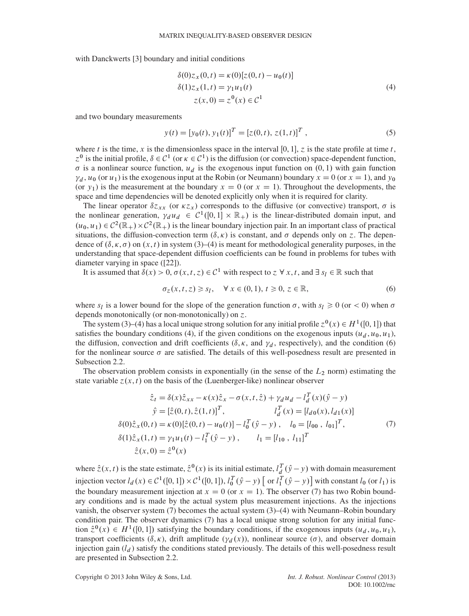with Danckwerts [3] boundary and initial conditions

$$
\delta(0)z_x(0,t) = \kappa(0)[z(0,t) - u_0(t)]\delta(1)z_x(1,t) = \gamma_1 u_1(t)\nz(x,0) = z^0(x) \in C^1
$$
\n(4)

and two boundary measurements

$$
y(t) = [y_0(t), y_1(t)]^T = [z(0, t), z(1, t)]^T,
$$
\n(5)

where t is the time, x is the dimensionless space in the interval [0, 1], z is the state profile at time t,  $z^0$  is the initial profile,  $\delta \in C^1$  (or  $\kappa \in C^1$ ) is the diffusion (or convection) space-dependent function,  $\sigma$  is a nonlinear source function,  $u_d$  is the exogenous input function on  $(0, 1)$  with gain function  $\gamma_d$ ,  $u_0$  (or  $u_1$ ) is the exogenous input at the Robin (or Neumann) boundary  $x = 0$  (or  $x = 1$ ), and  $y_0$ (or  $y_1$ ) is the measurement at the boundary  $x = 0$  (or  $x = 1$ ). Throughout the developments, the space and time dependencies will be denoted explicitly only when it is required for clarity.

The linear operator  $\delta z_{xx}$  (or  $\kappa z_x$ ) corresponds to the diffusive (or convective) transport,  $\sigma$  is the nonlinear generation,  $\gamma_d u_d \in C^1([0,1] \times \mathbb{R}_+)$  is the linear-distributed domain input, and  $(u_0, u_1) \in C^2(\mathbb{R}_+) \times C^2(\mathbb{R}_+)$  is the linear boundary injection pair. In an important class of practical situations, the diffusion-convection term  $(\delta, \kappa)$  is constant, and  $\sigma$  depends only on z. The dependence of  $(\delta, \kappa, \sigma)$  on  $(x, t)$  in system (3)–(4) is meant for methodological generality purposes, in the understanding that space-dependent diffusion coefficients can be found in problems for tubes with diameter varying in space ([22]).

It is assumed that  $\delta(x) > 0$ ,  $\sigma(x, t, z) \in C^1$  with respect to  $z \forall x, t$ , and  $\exists s_i \in \mathbb{R}$  such that

$$
\sigma_z(x, t, z) \ge s_l, \quad \forall \, x \in (0, 1), \, t \ge 0, \, z \in \mathbb{R}, \tag{6}
$$

where  $s_l$  is a lower bound for the slope of the generation function  $\sigma$ , with  $s_l \ge 0$  (or < 0) when  $\sigma$ depends monotonically (or non-monotonically) on  $z$ .

The system (3)–(4) has a local unique strong solution for any initial profile  $z^0(x) \in H^1([0, 1])$  that satisfies the boundary conditions (4), if the given conditions on the exogenous inputs  $(u_d, u_0, u_1)$ , the diffusion, convection and drift coefficients ( $\delta, \kappa$ , and  $\gamma_d$ , respectively), and the condition (6) for the nonlinear source  $\sigma$  are satisfied. The details of this well-posedness result are presented in Subsection 2.2.

The observation problem consists in exponentially (in the sense of the  $L_2$  norm) estimating the state variable  $z(x, t)$  on the basis of the (Luenberger-like) nonlinear observer

$$
\hat{z}_t = \delta(x)\hat{z}_{xx} - \kappa(x)\hat{z}_x - \sigma(x,t,\hat{z}) + \gamma_d u_d - l_d^T(x)(\hat{y} - y)
$$
  
\n
$$
\hat{y} = [\hat{z}(0,t), \hat{z}(1,t)]^T, \qquad l_d^T(x) = [l_{d0}(x), l_{d1}(x)]
$$
  
\n
$$
\delta(0)\hat{z}_x(0,t) = \kappa(0)[\hat{z}(0,t) - u_0(t)] - l_0^T(\hat{y} - y), \qquad l_0 = [l_{00}, l_{01}]^T,
$$
  
\n
$$
\delta(1)\hat{z}_x(1,t) = \gamma_1 u_1(t) - l_1^T(\hat{y} - y), \qquad l_1 = [l_{10}, l_{11}]^T
$$
  
\n
$$
\hat{z}(x,0) = \hat{z}^0(x)
$$
  
\n(7)

where  $\hat{z}(x,t)$  is the state estimate,  $\hat{z}^0(x)$  is its initial estimate,  $l_d^T(\hat{y} - y)$  with domain measurement injection vector  $l_d(x) \in C^1([0, 1]) \times C^1([0, 1])$ ,  $l_0^T(\hat{y} - y)$  or  $l_1^T(\hat{y} - y)$  with constant  $l_0$  (or  $l_1$ ) is the boundary measurement injection at  $x = 0$  (or  $x = 1$ ). The observer (7) has two Robin boundary conditions and is made by the actual system plus measurement injections. As the injections vanish, the observer system (7) becomes the actual system (3)–(4) with Neumann–Robin boundary condition pair. The observer dynamics (7) has a local unique strong solution for any initial function  $\hat{z}^0(x) \in H^1([0, 1])$  satisfying the boundary conditions, if the exogenous inputs  $(u_d, u_0, u_1)$ , transport coefficients  $(\delta, \kappa)$ , drift amplitude  $(\gamma_d(x))$ , nonlinear source  $(\sigma)$ , and observer domain injection gain  $(l_d)$  satisfy the conditions stated previously. The details of this well-posedness result are presented in Subsection 2.2.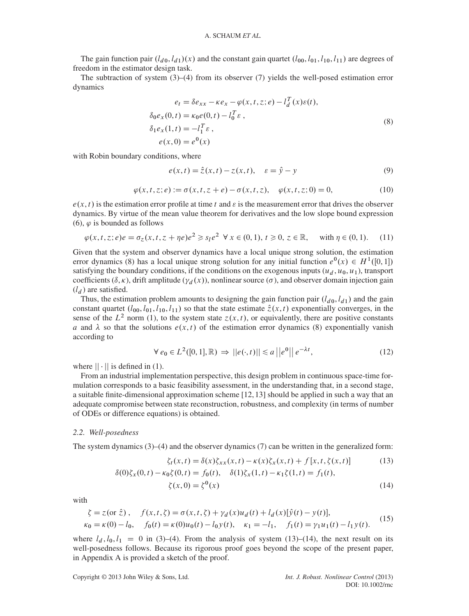The gain function pair  $(l_{d0}, l_{d1})(x)$  and the constant gain quartet  $(l_{00}, l_{01}, l_{10}, l_{11})$  are degrees of freedom in the estimator design task.

The subtraction of system (3)–(4) from its observer (7) yields the well-posed estimation error dynamics

$$
e_t = \delta e_{xx} - \kappa e_x - \varphi(x, t, z; e) - l_d^T(x)\varepsilon(t),
$$
  
\n
$$
\delta_0 e_x(0, t) = \kappa_0 e(0, t) - l_0^T \varepsilon,
$$
  
\n
$$
\delta_1 e_x(1, t) = -l_1^T \varepsilon,
$$
  
\n
$$
e(x, 0) = e^0(x)
$$
\n(8)

with Robin boundary conditions, where

$$
e(x,t) = \hat{z}(x,t) - z(x,t), \quad \varepsilon = \hat{y} - y
$$
 (9)

$$
\varphi(x, t, z; e) := \sigma(x, t, z + e) - \sigma(x, t, z), \quad \varphi(x, t, z; 0) = 0,
$$
\n(10)

 $e(x, t)$  is the estimation error profile at time t and  $\varepsilon$  is the measurement error that drives the observer dynamics. By virtue of the mean value theorem for derivatives and the low slope bound expression (6),  $\varphi$  is bounded as follows

$$
\varphi(x,t,z;e)e = \sigma_z(x,t,z+\eta e)e^2 \ge s_1e^2 \quad \forall \ x \in (0,1), \ t \ge 0, \ z \in \mathbb{R}, \quad \text{with } \eta \in (0,1). \tag{11}
$$

Given that the system and observer dynamics have a local unique strong solution, the estimation error dynamics (8) has a local unique strong solution for any initial function  $e^0(x) \in H^1([0, 1])$ satisfying the boundary conditions, if the conditions on the exogenous inputs  $(u_d, u_0, u_1)$ , transport coefficients ( $\delta, \kappa$ ), drift amplitude ( $\gamma_d(x)$ ), nonlinear source ( $\sigma$ ), and observer domain injection gain  $(l_d)$  are satisfied.

Thus, the estimation problem amounts to designing the gain function pair  $(l_{d0}, l_{d1})$  and the gain constant quartet  $(l_{00}, l_{01}, l_{10}, l_{11})$  so that the state estimate  $\hat{z}(x, t)$  exponentially converges, in the sense of the  $L^2$  norm (1), to the system state  $z(x, t)$ , or equivalently, there are positive constants a and  $\lambda$  so that the solutions  $e(x, t)$  of the estimation error dynamics (8) exponentially vanish according to

$$
\forall e_0 \in L^2([0,1], \mathbb{R}) \Rightarrow ||e(\cdot, t)|| \le a ||e^0|| e^{-\lambda t}, \tag{12}
$$

where  $|| \cdot ||$  is defined in (1).

From an industrial implementation perspective, this design problem in continuous space-time formulation corresponds to a basic feasibility assessment, in the understanding that, in a second stage, a suitable finite-dimensional approximation scheme [12,13] should be applied in such a way that an adequate compromise between state reconstruction, robustness, and complexity (in terms of number of ODEs or difference equations) is obtained.

## *2.2. Well-posedness*

The system dynamics  $(3)$ – $(4)$  and the observer dynamics  $(7)$  can be written in the generalized form:

$$
\zeta_t(x,t) = \delta(x)\zeta_{xx}(x,t) - \kappa(x)\zeta_x(x,t) + f[x,t,\zeta(x,t)]\tag{13}
$$

$$
\delta(0)\zeta_x(0,t) - \kappa_0 \zeta(0,t) = f_0(t), \quad \delta(1)\zeta_x(1,t) - \kappa_1 \zeta(1,t) = f_1(t),
$$
  

$$
\zeta(x,0) = \zeta^0(x)
$$
 (14)

with

$$
\zeta = z(\text{or }\hat{z}), \quad f(x, t, \zeta) = \sigma(x, t, \zeta) + \gamma_d(x)u_d(t) + l_d(x)[\hat{y}(t) - y(t)],
$$
  
\n
$$
\kappa_0 = \kappa(0) - l_0, \quad f_0(t) = \kappa(0)u_0(t) - l_0y(t), \quad \kappa_1 = -l_1, \quad f_1(t) = \gamma_1u_1(t) - l_1y(t).
$$
\n(15)

where  $l_d$ ,  $l_0$ ,  $l_1 = 0$  in (3)–(4). From the analysis of system (13)–(14), the next result on its well-posedness follows. Because its rigorous proof goes beyond the scope of the present paper, in Appendix A is provided a sketch of the proof.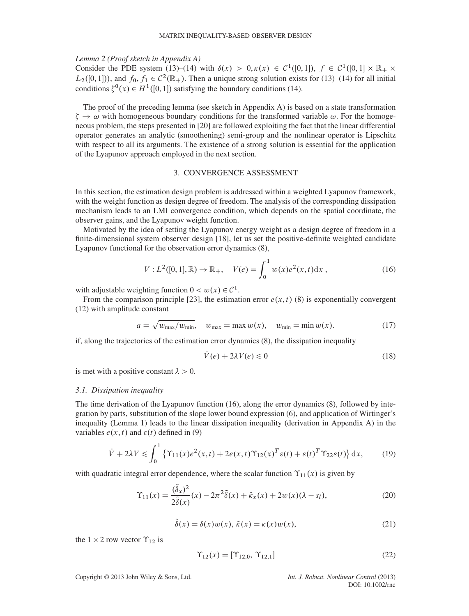#### *Lemma 2 (Proof sketch in Appendix A)*

Consider the PDE system (13)–(14) with  $\delta(x) > 0, \kappa(x) \in C^1([0,1])$ ,  $f \in C^1([0,1] \times \mathbb{R}_+ \times$  $L_2([0, 1])$ , and  $f_0, f_1 \in C^2(\mathbb{R}_+)$ . Then a unique strong solution exists for (13)–(14) for all initial conditions  $\zeta^0(x) \in H^1([0, 1])$  satisfying the boundary conditions (14).

The proof of the preceding lemma (see sketch in Appendix A) is based on a state transformation  $\zeta \to \omega$  with homogeneous boundary conditions for the transformed variable  $\omega$ . For the homogeneous neous problem, the steps presented in [20] are followed exploiting the fact that the linear differential operator generates an analytic (smoothening) semi-group and the nonlinear operator is Lipschitz with respect to all its arguments. The existence of a strong solution is essential for the application of the Lyapunov approach employed in the next section.

# 3. CONVERGENCE ASSESSMENT

In this section, the estimation design problem is addressed within a weighted Lyapunov framework, with the weight function as design degree of freedom. The analysis of the corresponding dissipation mechanism leads to an LMI convergence condition, which depends on the spatial coordinate, the observer gains, and the Lyapunov weight function.

Motivated by the idea of setting the Lyapunov energy weight as a design degree of freedom in a finite-dimensional system observer design [18], let us set the positive-definite weighted candidate Lyapunov functional for the observation error dynamics (8),

$$
V: L^{2}([0, 1], \mathbb{R}) \to \mathbb{R}_{+}, \quad V(e) = \int_{0}^{1} w(x)e^{2}(x, t)dx , \qquad (16)
$$

with adjustable weighting function  $0 < w(x) \in C^1$ .

From the comparison principle [23], the estimation error  $e(x, t)$  (8) is exponentially convergent (12) with amplitude constant

$$
a = \sqrt{w_{\text{max}}/w_{\text{min}}}, \quad w_{\text{max}} = \max w(x), \quad w_{\text{min}} = \min w(x). \tag{17}
$$

if, along the trajectories of the estimation error dynamics (8), the dissipation inequality

$$
\dot{V}(e) + 2\lambda V(e) \le 0\tag{18}
$$

is met with a positive constant  $\lambda > 0$ .

#### *3.1. Dissipation inequality*

The time derivation of the Lyapunov function (16), along the error dynamics (8), followed by integration by parts, substitution of the slope lower bound expression (6), and application of Wirtinger's inequality (Lemma 1) leads to the linear dissipation inequality (derivation in Appendix A) in the variables  $e(x, t)$  and  $\varepsilon(t)$  defined in (9)

$$
\dot{V} + 2\lambda V \le \int_0^1 \left\{ \Upsilon_{11}(x)e^2(x,t) + 2e(x,t)\Upsilon_{12}(x)^T \varepsilon(t) + \varepsilon(t)^T \Upsilon_{22} \varepsilon(t) \right\} \mathrm{d}x,\tag{19}
$$

with quadratic integral error dependence, where the scalar function  $\Upsilon_{11}(x)$  is given by

$$
\Upsilon_{11}(x) = \frac{(\tilde{\delta}_x)^2}{2\tilde{\delta}(x)}(x) - 2\pi^2 \tilde{\delta}(x) + \tilde{\kappa}_x(x) + 2w(x)(\lambda - s_l),\tag{20}
$$

$$
\tilde{\delta}(x) = \delta(x)w(x), \tilde{\kappa}(x) = \kappa(x)w(x),\tag{21}
$$

the  $1 \times 2$  row vector  $\Upsilon_{12}$  is

$$
\Upsilon_{12}(x) = [\Upsilon_{12,0}, \Upsilon_{12,1}] \tag{22}
$$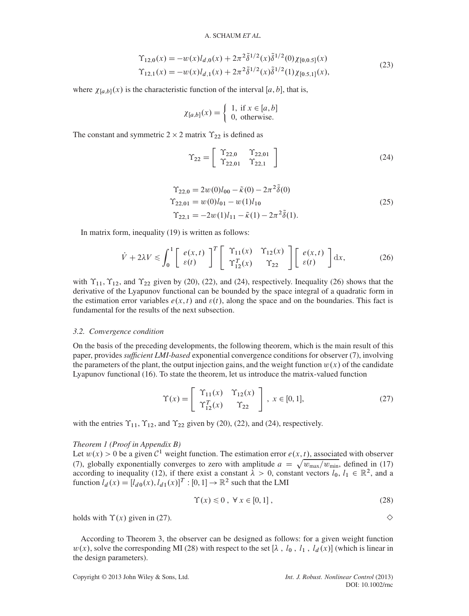$$
\begin{aligned} \Upsilon_{12,0}(x) &= -w(x)l_{d,0}(x) + 2\pi^2 \tilde{\delta}^{1/2}(x) \tilde{\delta}^{1/2}(0) \chi_{[0,0.5]}(x) \\ \Upsilon_{12,1}(x) &= -w(x)l_{d,1}(x) + 2\pi^2 \tilde{\delta}^{1/2}(x) \tilde{\delta}^{1/2}(1) \chi_{[0.5,1]}(x), \end{aligned} \tag{23}
$$

where  $\chi_{[a,b]}(x)$  is the characteristic function of the interval [a, b], that is,

$$
\chi_{[a,b]}(x) = \begin{cases} 1, & \text{if } x \in [a,b] \\ 0, & \text{otherwise.} \end{cases}
$$

The constant and symmetric  $2 \times 2$  matrix  $\Upsilon_{22}$  is defined as

$$
\Upsilon_{22} = \left[ \begin{array}{cc} \Upsilon_{22,0} & \Upsilon_{22,01} \\ \Upsilon_{22,01} & \Upsilon_{22,1} \end{array} \right] \tag{24}
$$

$$
\begin{aligned} \Upsilon_{22,0} &= 2w(0)l_{00} - \tilde{\kappa}(0) - 2\pi^2 \tilde{\delta}(0) \\ \Upsilon_{22,01} &= w(0)l_{01} - w(1)l_{10} \\ \Upsilon_{22,1} &= -2w(1)l_{11} - \tilde{\kappa}(1) - 2\pi^2 \tilde{\delta}(1). \end{aligned} \tag{25}
$$

In matrix form, inequality (19) is written as follows:

$$
\dot{V} + 2\lambda V \le \int_0^1 \left[ \begin{array}{c} e(x,t) \\ \varepsilon(t) \end{array} \right]^T \left[ \begin{array}{cc} \Upsilon_{11}(x) & \Upsilon_{12}(x) \\ \Upsilon_{12}^T(x) & \Upsilon_{22} \end{array} \right] \left[ \begin{array}{c} e(x,t) \\ \varepsilon(t) \end{array} \right] dx, \tag{26}
$$

with  $\Upsilon_{11}$ ,  $\Upsilon_{12}$ , and  $\Upsilon_{22}$  given by (20), (22), and (24), respectively. Inequality (26) shows that the derivative of the Lyapunov functional can be bounded by the space integral of a quadratic form in the estimation error variables  $e(x, t)$  and  $\varepsilon(t)$ , along the space and on the boundaries. This fact is fundamental for the results of the next subsection.

#### *3.2. Convergence condition*

On the basis of the preceding developments, the following theorem, which is the main result of this paper, provides *sufficient LMI-based* exponential convergence conditions for observer (7), involving the parameters of the plant, the output injection gains, and the weight function  $w(x)$  of the candidate Lyapunov functional (16). To state the theorem, let us introduce the matrix-valued function

$$
\Upsilon(x) = \begin{bmatrix} \Upsilon_{11}(x) & \Upsilon_{12}(x) \\ \Upsilon_{12}^T(x) & \Upsilon_{22} \end{bmatrix}, x \in [0, 1],
$$
\n(27)

with the entries  $\Upsilon_{11}$ ,  $\Upsilon_{12}$ , and  $\Upsilon_{22}$  given by (20), (22), and (24), respectively.

## *Theorem 1 (Proof in Appendix B)*

Let  $w(x) > 0$  be a given  $C^1$  weight function. The estimation error  $e(x, t)$ , associated with observer (7), globally exponentially converges to zero with amplitude  $a = \sqrt{w_{\text{max}}/w_{\text{min}}}$ , defined in (17) according to inequality (12), if there exist a constant  $\lambda > 0$ , constant vectors  $l_0, l_1 \in \mathbb{R}^2$ , and a function  $l_d(x) = [l_{d0}(x), l_{d1}(x)]^T : [0, 1] \to \mathbb{R}^2$  such that the LMI

$$
\Upsilon(x) \le 0, \ \forall \, x \in [0, 1], \tag{28}
$$

holds with  $\Upsilon(x)$  given in (27).

According to Theorem 3, the observer can be designed as follows: for a given weight function  $w(x)$ , solve the corresponding MI (28) with respect to the set [ $\lambda$ ,  $l_0$ ,  $l_1$ ,  $l_d(x)$ ] (which is linear in the design parameters).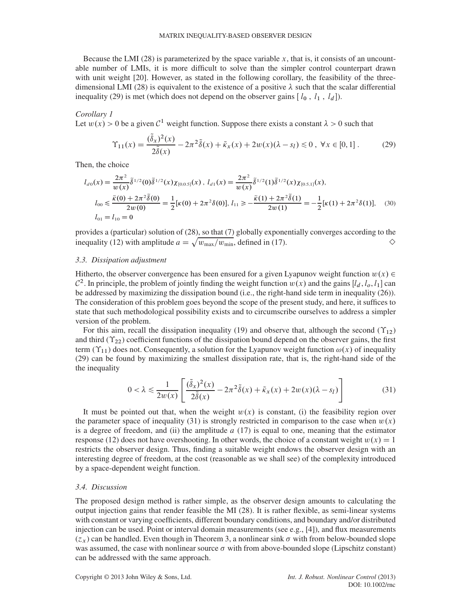Because the LMI (28) is parameterized by the space variable  $x$ , that is, it consists of an uncountable number of LMIs, it is more difficult to solve than the simpler control counterpart drawn with unit weight [20]. However, as stated in the following corollary, the feasibility of the threedimensional LMI (28) is equivalent to the existence of a positive  $\lambda$  such that the scalar differential inequality (29) is met (which does not depend on the observer gains  $[l_0, l_1, l_d]$ ).

## *Corollary 1*

Let  $w(x) > 0$  be a given  $C^1$  weight function. Suppose there exists a constant  $\lambda > 0$  such that

$$
\Upsilon_{11}(x) = \frac{(\tilde{\delta}_x)^2(x)}{2\tilde{\delta}(x)} - 2\pi^2 \tilde{\delta}(x) + \tilde{\kappa}_x(x) + 2w(x)(\lambda - s_l) \le 0, \ \forall x \in [0, 1]. \tag{29}
$$

Then, the choice

$$
l_{d0}(x) = \frac{2\pi^2}{w(x)} \tilde{\delta}^{1/2}(0) \tilde{\delta}^{1/2}(x) \chi_{[0,0.5]}(x), \ l_{d1}(x) = \frac{2\pi^2}{w(x)} \tilde{\delta}^{1/2}(1) \tilde{\delta}^{1/2}(x) \chi_{[0.5,1]}(x),
$$
  
\n
$$
l_{00} \le \frac{\tilde{\kappa}(0) + 2\pi^2 \tilde{\delta}(0)}{2w(0)} = \frac{1}{2} [\kappa(0) + 2\pi^2 \delta(0)], \ l_{11} \ge -\frac{\tilde{\kappa}(1) + 2\pi^2 \tilde{\delta}(1)}{2w(1)} = -\frac{1}{2} [\kappa(1) + 2\pi^2 \delta(1)], \quad (30)
$$
  
\n
$$
l_{01} = l_{10} = 0
$$

provides a (particular) solution of (28), so that (7) globally exponentially converges according to the inequality (12) with amplitude  $a = \sqrt{w_{\text{max}}/w_{\text{min}}},$  defined in (17).

## *3.3. Dissipation adjustment*

Hitherto, the observer convergence has been ensured for a given Lyapunov weight function  $w(x) \in$  $\mathcal{C}^2$ . In principle, the problem of jointly finding the weight function  $w(x)$  and the gains  $[l_d, l_o, l_1]$  can be addressed by maximizing the dissipation bound (i.e., the right-hand side term in inequality (26)). The consideration of this problem goes beyond the scope of the present study, and here, it suffices to state that such methodological possibility exists and to circumscribe ourselves to address a simpler version of the problem.

For this aim, recall the dissipation inequality (19) and observe that, although the second  $(\Upsilon_{12})$ and third  $(\Upsilon_{22})$  coefficient functions of the dissipation bound depend on the observer gains, the first term  $(\Upsilon_{11})$  does not. Consequently, a solution for the Lyapunov weight function  $\omega(x)$  of inequality (29) can be found by maximizing the smallest dissipation rate, that is, the right-hand side of the the inequality

$$
0 < \lambda \le \frac{1}{2w(x)} \left[ \frac{(\tilde{\delta}_x)^2(x)}{2\tilde{\delta}(x)} - 2\pi^2 \tilde{\delta}(x) + \tilde{\kappa}_x(x) + 2w(x)(\lambda - s_l) \right] \tag{31}
$$

It must be pointed out that, when the weight  $w(x)$  is constant, (i) the feasibility region over the parameter space of inequality (31) is strongly restricted in comparison to the case when  $w(x)$ is a degree of freedom, and (ii) the amplitude  $a(17)$  is equal to one, meaning that the estimator response (12) does not have overshooting. In other words, the choice of a constant weight  $w(x) = 1$ restricts the observer design. Thus, finding a suitable weight endows the observer design with an interesting degree of freedom, at the cost (reasonable as we shall see) of the complexity introduced by a space-dependent weight function.

### *3.4. Discussion*

The proposed design method is rather simple, as the observer design amounts to calculating the output injection gains that render feasible the MI (28). It is rather flexible, as semi-linear systems with constant or varying coefficients, different boundary conditions, and boundary and/or distributed injection can be used. Point or interval domain measurements (see e.g., [4]), and flux measurements  $(z_x)$  can be handled. Even though in Theorem 3, a nonlinear sink  $\sigma$  with from below-bounded slope was assumed, the case with nonlinear source  $\sigma$  with from above-bounded slope (Lipschitz constant) can be addressed with the same approach.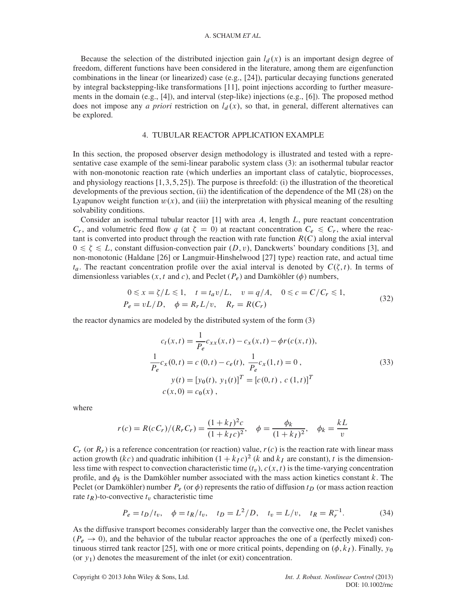Because the selection of the distributed injection gain  $l_d(x)$  is an important design degree of freedom, different functions have been considered in the literature, among them are eigenfunction combinations in the linear (or linearized) case (e.g., [24]), particular decaying functions generated by integral backstepping-like transformations [11], point injections according to further measurements in the domain (e.g., [4]), and interval (step-like) injections (e.g., [6]). The proposed method does not impose any *a priori* restriction on  $l_d(x)$ , so that, in general, different alternatives can be explored.

# 4. TUBULAR REACTOR APPLICATION EXAMPLE

In this section, the proposed observer design methodology is illustrated and tested with a representative case example of the semi-linear parabolic system class (3): an isothermal tubular reactor with non-monotonic reaction rate (which underlies an important class of catalytic, bioprocesses, and physiology reactions  $[1,3,5,25]$ ). The purpose is threefold: (i) the illustration of the theoretical developments of the previous section, (ii) the identification of the dependence of the MI (28) on the Lyapunov weight function  $w(x)$ , and (iii) the interpretation with physical meaning of the resulting solvability conditions.

Consider an isothermal tubular reactor  $[1]$  with area A, length L, pure reactant concentration  $C_r$ , and volumetric feed flow q (at  $\zeta = 0$ ) at reactant concentration  $C_e \le C_r$ , where the reactant is converted into product through the reaction with rate function  $R(C)$  along the axial interval  $0 \le \zeta \le L$ , constant diffusion-convection pair  $(D, v)$ , Danckwerts' boundary conditions [3], and non-monotonic (Haldane [26] or Langmuir-Hinshelwood [27] type) reaction rate, and actual time  $t_a$ . The reactant concentration profile over the axial interval is denoted by  $C(\zeta, t)$ . In terms of dimensionless variables  $(x, t \text{ and } c)$ , and Peclet  $(P_e)$  and Damköhler  $(\phi)$  numbers,

$$
0 \le x = \zeta/L \le 1, \quad t = t_a v/L, \quad v = q/A, \quad 0 \le c = C/C_r \le 1,
$$
  
\n
$$
P_e = vL/D, \quad \phi = R_r L/v, \quad R_r = R(C_r)
$$
\n(32)

the reactor dynamics are modeled by the distributed system of the form (3)

$$
c_t(x,t) = \frac{1}{P_e} c_{xx}(x,t) - c_x(x,t) - \phi r(c(x,t)),
$$
  
\n
$$
\frac{1}{P_e} c_x(0,t) = c(0,t) - c_e(t), \frac{1}{P_e} c_x(1,t) = 0,
$$
  
\n
$$
y(t) = [y_0(t), y_1(t)]^T = [c(0,t), c(1,t)]^T
$$
  
\n
$$
c(x,0) = c_0(x),
$$
\n(33)

where

$$
r(c) = R(cC_r)/(R_rC_r) = \frac{(1+k_I)^2c}{(1+k_I c)^2}, \quad \phi = \frac{\phi_k}{(1+k_I)^2}, \quad \phi_k = \frac{kL}{v}
$$

 $C_r$  (or  $R_r$ ) is a reference concentration (or reaction) value,  $r(c)$  is the reaction rate with linear mass action growth  $(kc)$  and quadratic inhibition  $(1 + k_I c)^2$  (k and k<sub>I</sub> are constant), t is the dimensionless time with respect to convection characteristic time  $(t_v)$ ,  $c(x, t)$  is the time-varying concentration profile, and  $\phi_k$  is the Damköhler number associated with the mass action kinetics constant k. The Peclet (or Damköhler) number  $P_e$  (or  $\phi$ ) represents the ratio of diffusion  $t_D$  (or mass action reaction rate  $t_R$ )-to-convective  $t_v$  characteristic time

$$
P_e = t_D/t_v, \quad \phi = t_R/t_v, \quad t_D = L^2/D, \quad t_v = L/v, \quad t_R = R_r^{-1}.
$$
 (34)

As the diffusive transport becomes considerably larger than the convective one, the Peclet vanishes  $(P_e \rightarrow 0)$ , and the behavior of the tubular reactor approaches the one of a (perfectly mixed) continuous stirred tank reactor [25], with one or more critical points, depending on  $(\phi, k_I)$ . Finally,  $y_0$ (or  $y_1$ ) denotes the measurement of the inlet (or exit) concentration.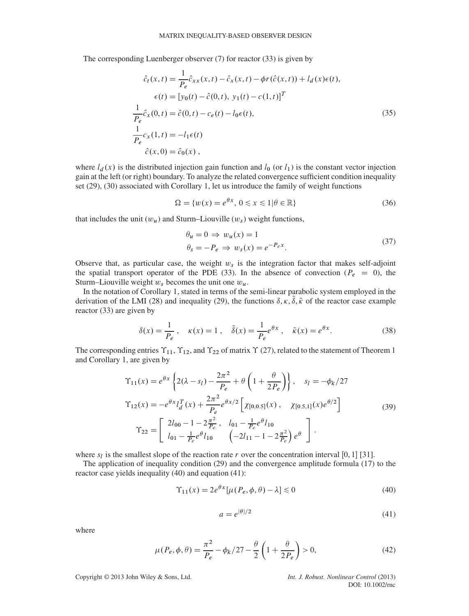The corresponding Luenberger observer (7) for reactor (33) is given by

$$
\hat{c}_t(x,t) = \frac{1}{P_e} \hat{c}_{xx}(x,t) - \hat{c}_x(x,t) - \phi r(\hat{c}(x,t)) + l_d(x)\epsilon(t),
$$
  
\n
$$
\epsilon(t) = [y_0(t) - \hat{c}(0,t), y_1(t) - c(1,t)]^T
$$
  
\n
$$
\frac{1}{P_e} \hat{c}_x(0,t) = \hat{c}(0,t) - c_e(t) - l_0 \epsilon(t),
$$
  
\n
$$
\frac{1}{P_e} c_x(1,t) = -l_1 \epsilon(t)
$$
  
\n
$$
\hat{c}(x,0) = \hat{c}_0(x),
$$
\n(35)

where  $l_d(x)$  is the distributed injection gain function and  $l_0$  (or  $l_1$ ) is the constant vector injection gain at the left (or right) boundary. To analyze the related convergence sufficient condition inequality set (29), (30) associated with Corollary 1, let us introduce the family of weight functions

$$
\Omega = \{w(x) = e^{\theta x}, \ 0 \le x \le 1 | \theta \in \mathbb{R}\}\tag{36}
$$

that includes the unit  $(w_u)$  and Sturm–Liouville  $(w_s)$  weight functions,

$$
\theta_u = 0 \Rightarrow w_u(x) = 1
$$
  
\n
$$
\theta_s = -P_e \Rightarrow w_s(x) = e^{-P_e x}.
$$
\n(37)

Observe that, as particular case, the weight  $w_s$  is the integration factor that makes self-adjoint the spatial transport operator of the PDE (33). In the absence of convection ( $P_e = 0$ ), the Sturm–Liouville weight  $w_s$  becomes the unit one  $w_u$ .

In the notation of Corollary 1, stated in terms of the semi-linear parabolic system employed in the derivation of the LMI (28) and inequality (29), the functions  $\delta, \kappa, \tilde{\delta}, \tilde{\kappa}$  of the reactor case example reactor (33) are given by

$$
\delta(x) = \frac{1}{P_e}, \quad \kappa(x) = 1, \quad \tilde{\delta}(x) = \frac{1}{P_e} e^{\theta x}, \quad \tilde{\kappa}(x) = e^{\theta x}.
$$
 (38)

The corresponding entries  $\Upsilon_{11}$ ,  $\Upsilon_{12}$ , and  $\Upsilon_{22}$  of matrix  $\Upsilon$  (27), related to the statement of Theorem 1 and Corollary 1, are given by

$$
\begin{split}\n\Upsilon_{11}(x) &= e^{\theta x} \left\{ 2(\lambda - s_l) - \frac{2\pi^2}{P_e} + \theta \left( 1 + \frac{\theta}{2P_e} \right) \right\}, \quad s_l = -\phi_k/27 \\
\Upsilon_{12}(x) &= -e^{\theta x} l_d^T(x) + \frac{2\pi^2}{P_e} e^{\theta x/2} \left[ \chi_{[0,0.5]}(x), \quad \chi_{[0.5,1]}(x) e^{\theta/2} \right] \\
\Upsilon_{22} &= \left[ \begin{array}{cc} 2l_{00} - 1 - 2\frac{\pi^2}{P_e}, & l_{01} - \frac{1}{P_e} e^{\theta} l_{10} \\
l_{01} - \frac{1}{P_e} e^{\theta} l_{10} & \left( -2l_{11} - 1 - 2\frac{\pi^2}{P_e} \right) e^{\theta} \end{array} \right].\n\end{split} \tag{39}
$$

where  $s_l$  is the smallest slope of the reaction rate r over the concentration interval [0, 1] [31].

The application of inequality condition (29) and the convergence amplitude formula (17) to the reactor case yields inequality (40) and equation (41):

$$
\Upsilon_{11}(x) = 2e^{\theta x} [\mu(P_e, \phi, \theta) - \lambda] \le 0
$$
\n(40)

$$
a = e^{|\theta|/2} \tag{41}
$$

where

$$
\mu(P_e, \phi, \theta) = \frac{\pi^2}{P_e} - \phi_k / 27 - \frac{\theta}{2} \left( 1 + \frac{\theta}{2P_e} \right) > 0,
$$
\n(42)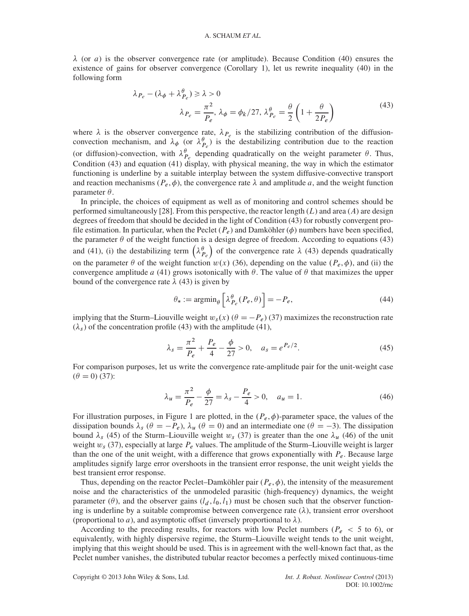$\lambda$  (or *a*) is the observer convergence rate (or amplitude). Because Condition (40) ensures the existence of gains for observer convergence (Corollary 1), let us rewrite inequality (40) in the following form

$$
\lambda_{P_e} - (\lambda_{\phi} + \lambda_{P_e}^{\theta}) \ge \lambda > 0
$$
  

$$
\lambda_{P_e} = \frac{\pi^2}{P_e}, \lambda_{\phi} = \phi_k / 27, \lambda_{P_e}^{\theta} = \frac{\theta}{2} \left( 1 + \frac{\theta}{2P_e} \right)
$$
 (43)

where  $\lambda$  is the observer convergence rate,  $\lambda_{P_e}$  is the stabilizing contribution of the diffusionconvection mechanism, and  $\lambda_{\phi}$  (or  $\lambda_{P_e}^{\theta}$ ) is the destabilizing contribution due to the reaction (or diffusion)-convection, with  $\lambda_{P_e}^{\theta}$  depending quadratically on the weight parameter  $\theta$ . Thus, Condition (43) and equation (41) display, with physical meaning, the way in which the estimator functioning is underline by a suitable interplay between the system diffusive-convective transport and reaction mechanisms ( $P_e$ ,  $\phi$ ), the convergence rate  $\lambda$  and amplitude a, and the weight function parameter  $\theta$ .

In principle, the choices of equipment as well as of monitoring and control schemes should be performed simultaneously [28]. From this perspective, the reactor length  $(L)$  and area  $(A)$  are design degrees of freedom that should be decided in the light of Condition (43) for robustly convergent profile estimation. In particular, when the Peclet  $(P_e)$  and Damköhler ( $\phi$ ) numbers have been specified, the parameter  $\theta$  of the weight function is a design degree of freedom. According to equations (43) and (41), (i) the destabilizing term  $(\lambda_{P_e}^{\theta})$  of the convergence rate  $\lambda$  (43) depends quadratically on the parameter  $\theta$  of the weight function  $w(x)$  (36), depending on the value  $(P_e, \phi)$ , and (ii) the convergence amplitude a (41) grows isotonically with  $\theta$ . The value of  $\theta$  that maximizes the upper bound of the convergence rate  $\lambda$  (43) is given by

$$
\theta_* := \operatorname{argmin}_{\theta} \left[ \lambda_{P_e}^{\theta} (P_e, \theta) \right] = -P_e,
$$
\n(44)

implying that the Sturm–Liouville weight  $w_s(x)$  ( $\theta = -P_e$ ) (37) maximizes the reconstruction rate  $(\lambda_s)$  of the concentration profile (43) with the amplitude (41),

$$
\lambda_s = \frac{\pi^2}{P_e} + \frac{P_e}{4} - \frac{\phi}{27} > 0, \quad a_s = e^{P_e/2}.
$$
\n(45)

For comparison purposes, let us write the convergence rate-amplitude pair for the unit-weight case  $(\theta = 0)$  (37):

$$
\lambda_u = \frac{\pi^2}{P_e} - \frac{\phi}{27} = \lambda_s - \frac{P_e}{4} > 0, \quad a_u = 1.
$$
\n(46)

For illustration purposes, in Figure 1 are plotted, in the  $(P_e, \phi)$ -parameter space, the values of the dissipation bounds  $\lambda_s$  ( $\theta = -P_e$ ),  $\lambda_u$  ( $\theta = 0$ ) and an intermediate one ( $\theta = -3$ ). The dissipation bound  $\lambda_s$  (45) of the Sturm–Liouville weight  $w_s$  (37) is greater than the one  $\lambda_u$  (46) of the unit weight  $w_s$  (37), especially at large  $P_e$  values. The amplitude of the Sturm–Liouville weight is larger than the one of the unit weight, with a difference that grows exponentially with  $P_e$ . Because large amplitudes signify large error overshoots in the transient error response, the unit weight yields the best transient error response.

Thus, depending on the reactor Peclet–Damköhler pair  $(P_e, \phi)$ , the intensity of the measurement noise and the characteristics of the unmodeled parasitic (high-frequency) dynamics, the weight parameter ( $\theta$ ), and the observer gains ( $l_d$ ,  $l_0$ ,  $l_1$ ) must be chosen such that the observer functioning is underline by a suitable compromise between convergence rate  $(\lambda)$ , transient error overshoot (proportional to *a*), and asymptotic offset (inversely proportional to  $\lambda$ ).

According to the preceding results, for reactors with low Peclet numbers ( $P_e$  < 5 to 6), or equivalently, with highly dispersive regime, the Sturm–Liouville weight tends to the unit weight, implying that this weight should be used. This is in agreement with the well-known fact that, as the Peclet number vanishes, the distributed tubular reactor becomes a perfectly mixed continuous-time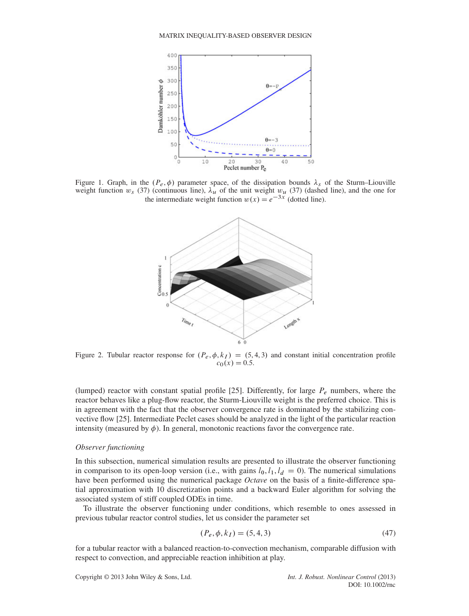

Figure 1. Graph, in the  $(P_e, \phi)$  parameter space, of the dissipation bounds  $\lambda_s$  of the Sturm–Liouville weight function  $w_s$  (37) (continuous line),  $\lambda_u$  of the unit weight  $w_u$  (37) (dashed line), and the one for the intermediate weight function  $w(x) = e^{-3x}$  (dotted line).



Figure 2. Tubular reactor response for  $(P_e, \phi, k_I) = (5, 4, 3)$  and constant initial concentration profile  $c_0(x) = 0.5.$ 

(lumped) reactor with constant spatial profile [25]. Differently, for large  $P_e$  numbers, where the reactor behaves like a plug-flow reactor, the Sturm-Liouville weight is the preferred choice. This is in agreement with the fact that the observer convergence rate is dominated by the stabilizing convective flow [25]. Intermediate Peclet cases should be analyzed in the light of the particular reaction intensity (measured by  $\phi$ ). In general, monotonic reactions favor the convergence rate.

## *Observer functioning*

In this subsection, numerical simulation results are presented to illustrate the observer functioning in comparison to its open-loop version (i.e., with gains  $l_0$ ,  $l_1$ ,  $l_d = 0$ ). The numerical simulations have been performed using the numerical package *Octave* on the basis of a finite-difference spatial approximation with 10 discretization points and a backward Euler algorithm for solving the associated system of stiff coupled ODEs in time.

To illustrate the observer functioning under conditions, which resemble to ones assessed in previous tubular reactor control studies, let us consider the parameter set

$$
(P_e, \phi, k_I) = (5, 4, 3)
$$
\n<sup>(47)</sup>

for a tubular reactor with a balanced reaction-to-convection mechanism, comparable diffusion with respect to convection, and appreciable reaction inhibition at play.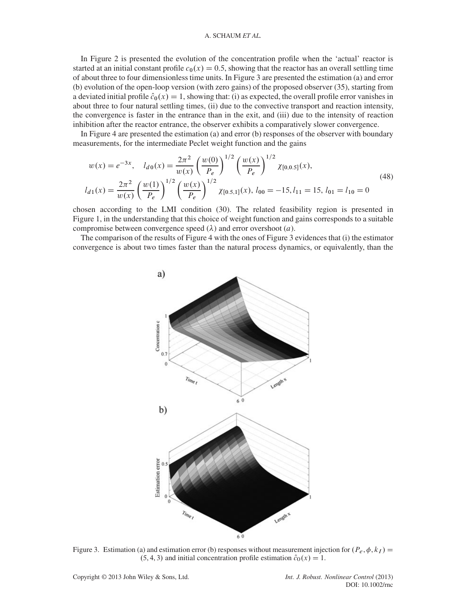In Figure 2 is presented the evolution of the concentration profile when the 'actual' reactor is started at an initial constant profile  $c_0(x) = 0.5$ , showing that the reactor has an overall settling time of about three to four dimensionless time units. In Figure 3 are presented the estimation (a) and error (b) evolution of the open-loop version (with zero gains) of the proposed observer (35), starting from a deviated initial profile  $\hat{c}_0(x) = 1$ , showing that: (i) as expected, the overall profile error vanishes in about three to four natural settling times, (ii) due to the convective transport and reaction intensity, the convergence is faster in the entrance than in the exit, and (iii) due to the intensity of reaction inhibition after the reactor entrance, the observer exhibits a comparatively slower convergence.

In Figure 4 are presented the estimation (a) and error (b) responses of the observer with boundary measurements, for the intermediate Peclet weight function and the gains

$$
w(x) = e^{-3x}, \quad l_{d0}(x) = \frac{2\pi^2}{w(x)} \left(\frac{w(0)}{P_e}\right)^{1/2} \left(\frac{w(x)}{P_e}\right)^{1/2} \chi_{[0,0.5]}(x),
$$
  

$$
l_{d1}(x) = \frac{2\pi^2}{w(x)} \left(\frac{w(1)}{P_e}\right)^{1/2} \left(\frac{w(x)}{P_e}\right)^{1/2} \chi_{[0.5,1]}(x), \quad l_{00} = -15, l_{11} = 15, l_{01} = l_{10} = 0
$$
 (48)

chosen according to the LMI condition (30). The related feasibility region is presented in Figure 1, in the understanding that this choice of weight function and gains corresponds to a suitable compromise between convergence speed  $(\lambda)$  and error overshoot  $(a)$ .

The comparison of the results of Figure 4 with the ones of Figure 3 evidences that (i) the estimator convergence is about two times faster than the natural process dynamics, or equivalently, than the



Figure 3. Estimation (a) and estimation error (b) responses without measurement injection for  $(P_e, \phi, k_I)$  =  $(5, 4, 3)$  and initial concentration profile estimation  $\hat{c}_0(x) = 1$ .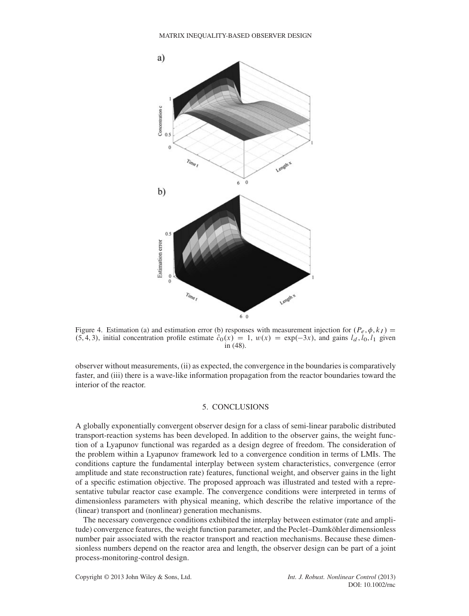

Figure 4. Estimation (a) and estimation error (b) responses with measurement injection for  $(P_e, \phi, k_I)$  =  $(5, 4, 3)$ , initial concentration profile estimate  $\hat{c}_0(x) = 1$ ,  $w(x) = \exp(-3x)$ , and gains  $l_d$ ,  $l_0$ ,  $l_1$  given in (48).

observer without measurements, (ii) as expected, the convergence in the boundaries is comparatively faster, and (iii) there is a wave-like information propagation from the reactor boundaries toward the interior of the reactor.

# 5. CONCLUSIONS

A globally exponentially convergent observer design for a class of semi-linear parabolic distributed transport-reaction systems has been developed. In addition to the observer gains, the weight function of a Lyapunov functional was regarded as a design degree of freedom. The consideration of the problem within a Lyapunov framework led to a convergence condition in terms of LMIs. The conditions capture the fundamental interplay between system characteristics, convergence (error amplitude and state reconstruction rate) features, functional weight, and observer gains in the light of a specific estimation objective. The proposed approach was illustrated and tested with a representative tubular reactor case example. The convergence conditions were interpreted in terms of dimensionless parameters with physical meaning, which describe the relative importance of the (linear) transport and (nonlinear) generation mechanisms.

The necessary convergence conditions exhibited the interplay between estimator (rate and amplitude) convergence features, the weight function parameter, and the Peclet–Damköhler dimensionless number pair associated with the reactor transport and reaction mechanisms. Because these dimensionless numbers depend on the reactor area and length, the observer design can be part of a joint process-monitoring-control design.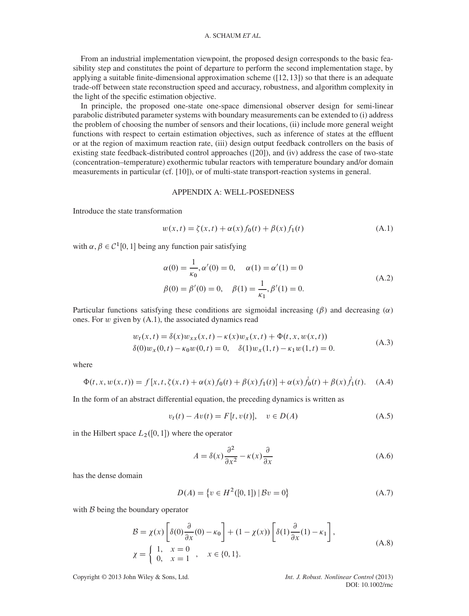From an industrial implementation viewpoint, the proposed design corresponds to the basic feasibility step and constitutes the point of departure to perform the second implementation stage, by applying a suitable finite-dimensional approximation scheme  $(12, 13)$  so that there is an adequate trade-off between state reconstruction speed and accuracy, robustness, and algorithm complexity in the light of the specific estimation objective.

In principle, the proposed one-state one-space dimensional observer design for semi-linear parabolic distributed parameter systems with boundary measurements can be extended to (i) address the problem of choosing the number of sensors and their locations, (ii) include more general weight functions with respect to certain estimation objectives, such as inference of states at the effluent or at the region of maximum reaction rate, (iii) design output feedback controllers on the basis of existing state feedback-distributed control approaches ([20]), and (iv) address the case of two-state (concentration–temperature) exothermic tubular reactors with temperature boundary and/or domain measurements in particular (cf. [10]), or of multi-state transport-reaction systems in general.

## APPENDIX A: WELL-POSEDNESS

Introduce the state transformation

$$
w(x,t) = \zeta(x,t) + \alpha(x)f_0(t) + \beta(x)f_1(t)
$$
 (A.1)

with  $\alpha, \beta \in C^1[0, 1]$  being any function pair satisfying

$$
\alpha(0) = \frac{1}{\kappa_0}, \alpha'(0) = 0, \quad \alpha(1) = \alpha'(1) = 0
$$
  

$$
\beta(0) = \beta'(0) = 0, \quad \beta(1) = \frac{1}{\kappa_1}, \beta'(1) = 0.
$$
 (A.2)

Particular functions satisfying these conditions are sigmoidal increasing  $(\beta)$  and decreasing  $(\alpha)$ ones. For w given by (A.1), the associated dynamics read

$$
w_t(x,t) = \delta(x)w_{xx}(x,t) - \kappa(x)w_x(x,t) + \Phi(t, x, w(x,t))
$$
  
\n
$$
\delta(0)w_x(0,t) - \kappa_0 w(0,t) = 0, \quad \delta(1)w_x(1,t) - \kappa_1 w(1,t) = 0.
$$
\n(A.3)

where

$$
\Phi(t, x, w(x, t)) = f[x, t, \zeta(x, t) + \alpha(x)f_0(t) + \beta(x)f_1(t)] + \alpha(x)\dot{f}_0(t) + \beta(x)\dot{f}_1(t). \quad (A.4)
$$

In the form of an abstract differential equation, the preceding dynamics is written as

$$
v_t(t) - Av(t) = F[t, v(t)], \quad v \in D(A)
$$
 (A.5)

in the Hilbert space  $L_2([0, 1])$  where the operator

$$
A = \delta(x)\frac{\partial^2}{\partial x^2} - \kappa(x)\frac{\partial}{\partial x}
$$
 (A.6)

has the dense domain

$$
D(A) = \{ v \in H^2([0, 1]) \, | \, Bv = 0 \}
$$
 (A.7)

with *B* being the boundary operator

$$
\mathcal{B} = \chi(x) \left[ \delta(0) \frac{\partial}{\partial x}(0) - \kappa_0 \right] + (1 - \chi(x)) \left[ \delta(1) \frac{\partial}{\partial x}(1) - \kappa_1 \right],
$$
  
\n
$$
\chi = \begin{cases} 1, & x = 0 \\ 0, & x = 1 \end{cases}, \quad x \in \{0, 1\}.
$$
 (A.8)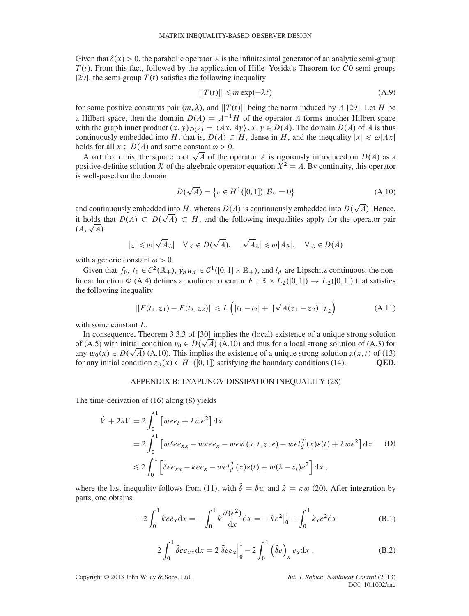Given that  $\delta(x) > 0$ , the parabolic operator A is the infinitesimal generator of an analytic semi-group  $T(t)$ . From this fact, followed by the application of Hille–Yosida's Theorem for C0 semi-groups [29], the semi-group  $T(t)$  satisfies the following inequality

$$
||T(t)|| \le m \exp(-\lambda t) \tag{A.9}
$$

for some positive constants pair  $(m, \lambda)$ , and  $||T(t)||$  being the norm induced by A [29]. Let H be a Hilbert space, then the domain  $D(A) = A^{-1}H$  of the operator A forms another Hilbert space with the graph inner product  $(x, y)_{D(A)} = \langle Ax, Ay \rangle$ ,  $x, y \in D(A)$ . The domain  $D(A)$  of A is thus continuously embedded into H, that is,  $D(A) \subset H$ , dense in H, and the inequality  $|x| \le \omega |Ax|$ holds for all  $x \in D(A)$  and some constant  $\omega > 0$ .

Apart from this, the square root  $\sqrt{A}$  of the operator A is rigorously introduced on  $D(A)$  as a positive-definite solution X of the algebraic operator equation  $X^2 = A$ . By continuity, this operator is well-posed on the domain

$$
D(\sqrt{A}) = \{v \in H^{1}([0, 1]) | Bv = 0\}
$$
 (A.10)

and continuously embedded into H, whereas  $D(A)$  is continuously embedded into  $D(\sqrt{A})$ . Hence, it holds that  $D(A) \subset D(\sqrt{A}) \subset H$ , and the following inequalities apply for the operator pair  $(A, \sqrt{A})$ 

$$
|z| \le \omega |\sqrt{A}z| \quad \forall z \in D(\sqrt{A}), \quad |\sqrt{A}z| \le \omega |Ax|, \quad \forall z \in D(A)
$$

with a generic constant  $\omega > 0$ .

Given that  $f_0, f_1 \in C^2(\mathbb{R}_+), \gamma_d u_d \in C^1([0,1] \times \mathbb{R}_+),$  and  $l_d$  are Lipschitz continuous, the nonlinear function  $\Phi$  (A.4) defines a nonlinear operator  $F : \mathbb{R} \times L_2([0, 1]) \to L_2([0, 1])$  that satisfies the following inequality

$$
||F(t_1, z_1) - F(t_2, z_2)|| \le L\left(|t_1 - t_2| + ||\sqrt{A}(z_1 - z_2)||_{L_2}\right)
$$
 (A.11)

with some constant L.

In consequence, Theorem 3.3.3 of [30] implies the (local) existence of a unique strong solution of (A.5) with initial condition  $v_0 \in D(\sqrt{A})$  (A.10) and thus for a local strong solution of (A.3) for any  $w_0(x) \in D(\sqrt{A})$  (A.10). This implies the existence of a unique strong solution  $z(x, t)$  of (13) for any initial condition  $z_0(x) \in H^1([0, 1])$  satisfying the boundary conditions (14). **OED.** for any initial condition  $z_0(x) \in H^1([0, 1])$  satisfying the boundary conditions (14).

## APPENDIX B: LYAPUNOV DISSIPATION INEQUALITY (28)

The time-derivation of (16) along (8) yields

$$
\dot{V} + 2\lambda V = 2 \int_0^1 \left[ wee_t + \lambda w e^2 \right] dx
$$
  
=  $2 \int_0^1 \left[ w\delta ee_{xx} - w\kappa ee_x - w e\varphi(x, t, z; e) - w e l_d^T(x)\varepsilon(t) + \lambda w e^2 \right] dx$  (D)  
 $\leq 2 \int_0^1 \left[ \delta ee_{xx} - \tilde{\kappa} ee_x - w e l_d^T(x)\varepsilon(t) + w(\lambda - s_l)e^2 \right] dx$ ,

where the last inequality follows from (11), with  $\tilde{\delta} = \delta w$  and  $\tilde{\kappa} = \kappa w$  (20). After integration by parts, one obtains

$$
-2\int_0^1 \tilde{\kappa} e e_x dx = -\int_0^1 \tilde{\kappa} \frac{d(e^2)}{dx} dx = -\tilde{\kappa} e^2 \Big|_0^1 + \int_0^1 \tilde{\kappa}_x e^2 dx
$$
 (B.1)

$$
2\int_0^1 \tilde{\delta}ee_{xx}dx = 2\tilde{\delta}ee_x\Big|_0^1 - 2\int_0^1 (\tilde{\delta}e)_x e_xdx.
$$
 (B.2)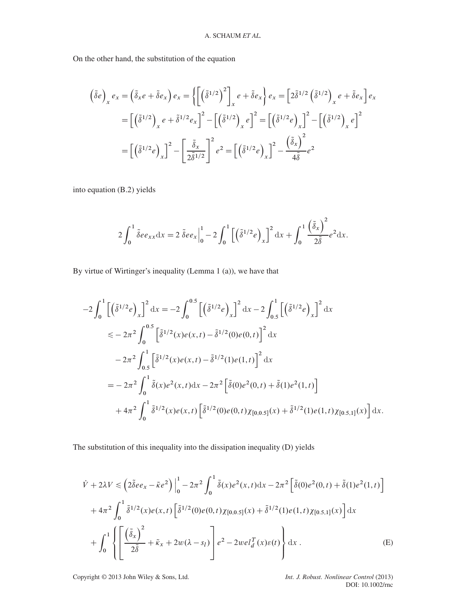On the other hand, the substitution of the equation

$$
\begin{aligned}\n\left(\tilde{\delta}e\right)_x e_x &= \left(\tilde{\delta}_x e + \tilde{\delta}e_x\right) e_x = \left\{ \left[ \left(\tilde{\delta}^{1/2}\right)^2 \right]_x e + \tilde{\delta}e_x \right\} e_x = \left[ 2\tilde{\delta}^{1/2} \left(\tilde{\delta}^{1/2}\right)_x e + \tilde{\delta}e_x \right] e_x \\
&= \left[ \left(\tilde{\delta}^{1/2}\right)_x e + \tilde{\delta}^{1/2} e_x \right]^2 - \left[ \left(\tilde{\delta}^{1/2}\right)_x e \right]^2 = \left[ \left(\tilde{\delta}^{1/2}e\right)_x \right]^2 - \left[ \left(\tilde{\delta}^{1/2}\right)_x e \right]^2 \\
&= \left[ \left(\tilde{\delta}^{1/2}e\right)_x \right]^2 - \left[ \frac{\tilde{\delta}_x}{2\tilde{\delta}^{1/2}} \right]^2 e^2 = \left[ \left(\tilde{\delta}^{1/2}e\right)_x \right]^2 - \frac{\left(\tilde{\delta}_x\right)^2}{4\tilde{\delta}} e^2\n\end{aligned}
$$

into equation (B.2) yields

$$
2\int_0^1 \tilde{\delta} e e_{xx} dx = 2 \tilde{\delta} e e_x \Big|_0^1 - 2 \int_0^1 \left[ \left( \tilde{\delta}^{1/2} e \right)_x \right]^2 dx + \int_0^1 \frac{\left( \tilde{\delta}_x \right)^2}{2 \tilde{\delta}} e^2 dx.
$$

By virtue of Wirtinger's inequality (Lemma 1 (a)), we have that

$$
-2\int_0^1 \left[ \left( \tilde{\delta}^{1/2} e \right)_x \right]^2 dx = -2\int_0^{0.5} \left[ \left( \tilde{\delta}^{1/2} e \right)_x \right]^2 dx - 2\int_{0.5}^1 \left[ \left( \tilde{\delta}^{1/2} e \right)_x \right]^2 dx
$$
  
\n
$$
\leq -2\pi^2 \int_0^{0.5} \left[ \tilde{\delta}^{1/2}(x) e(x,t) - \tilde{\delta}^{1/2}(0) e(0,t) \right]^2 dx
$$
  
\n
$$
-2\pi^2 \int_{0.5}^1 \left[ \tilde{\delta}^{1/2}(x) e(x,t) - \tilde{\delta}^{1/2}(1) e(1,t) \right]^2 dx
$$
  
\n
$$
= -2\pi^2 \int_0^1 \tilde{\delta}(x) e^2(x,t) dx - 2\pi^2 \left[ \tilde{\delta}(0) e^2(0,t) + \tilde{\delta}(1) e^2(1,t) \right]
$$
  
\n
$$
+ 4\pi^2 \int_0^1 \tilde{\delta}^{1/2}(x) e(x,t) \left[ \tilde{\delta}^{1/2}(0) e(0,t) \chi_{[0,0.5]}(x) + \tilde{\delta}^{1/2}(1) e(1,t) \chi_{[0.5,1]}(x) \right] dx.
$$

The substitution of this inequality into the dissipation inequality (D) yields

$$
\dot{V} + 2\lambda V \le \left(2\tilde{\delta}ee_x - \tilde{\kappa}e^2\right)\Big|_0^1 - 2\pi^2 \int_0^1 \tilde{\delta}(x)e^2(x,t)dx - 2\pi^2 \left[\tilde{\delta}(0)e^2(0,t) + \tilde{\delta}(1)e^2(1,t)\right] \n+ 4\pi^2 \int_0^1 \tilde{\delta}^{1/2}(x)e(x,t) \left[\tilde{\delta}^{1/2}(0)e(0,t)\chi_{[0,0.5]}(x) + \tilde{\delta}^{1/2}(1)e(1,t)\chi_{[0.5,1]}(x)\right] dx \n+ \int_0^1 \left\{ \left[\frac{\left(\tilde{\delta}_x\right)^2}{2\tilde{\delta}} + \tilde{\kappa}_x + 2w(\lambda - s_I)\right]e^2 - 2w e l_d^T(x)\varepsilon(t) \right\} dx . \tag{E}
$$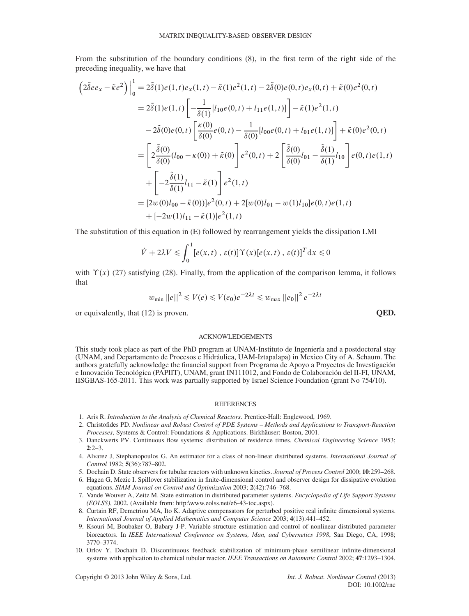From the substitution of the boundary conditions (8), in the first term of the right side of the preceding inequality, we have that

$$
\begin{split}\n\left(2\tilde{\delta}ee_{x}-\tilde{\kappa}e^{2}\right)\Big|_{0}^{1} &=2\tilde{\delta}(1)e(1,t)e_{x}(1,t)-\tilde{\kappa}(1)e^{2}(1,t)-2\tilde{\delta}(0)e(0,t)e_{x}(0,t)+\tilde{\kappa}(0)e^{2}(0,t) \\
&=2\tilde{\delta}(1)e(1,t)\left[-\frac{1}{\delta(1)}[l_{10}e(0,t)+l_{11}e(1,t)]\right]-\tilde{\kappa}(1)e^{2}(1,t) \\
&-2\tilde{\delta}(0)e(0,t)\left[\frac{\kappa(0)}{\delta(0)}e(0,t)-\frac{1}{\delta(0)}[l_{00}e(0,t)+l_{01}e(1,t)]\right]+\tilde{\kappa}(0)e^{2}(0,t) \\
&=\left[2\frac{\tilde{\delta}(0)}{\delta(0)}(l_{00}-\kappa(0))+\tilde{\kappa}(0)\right]e^{2}(0,t)+2\left[\frac{\tilde{\delta}(0)}{\delta(0)}l_{01}-\frac{\tilde{\delta}(1)}{\delta(1)}l_{10}\right]e(0,t)e(1,t) \\
&+\left[-2\frac{\tilde{\delta}(1)}{\delta(1)}l_{11}-\tilde{\kappa}(1)\right]e^{2}(1,t) \\
&=[2w(0)l_{00}-\tilde{\kappa}(0))]e^{2}(0,t)+2[w(0)l_{01}-w(1)l_{10}]e(0,t)e(1,t) \\
&+[-2w(1)l_{11}-\tilde{\kappa}(1)]e^{2}(1,t)\n\end{split}
$$

The substitution of this equation in (E) followed by rearrangement yields the dissipation LMI

$$
\dot{V} + 2\lambda V \le \int_0^1 [e(x, t), \varepsilon(t)] \Upsilon(x) [e(x, t), \varepsilon(t)]^T dx \le 0
$$

with  $\Upsilon(x)$  (27) satisfying (28). Finally, from the application of the comparison lemma, it follows that

$$
w_{\min} ||e||^2 \le V(e) \le V(e_0)e^{-2\lambda t} \le w_{\max} ||e_0||^2 e^{-2\lambda t}
$$

or equivalently, that (12) is proven. **QED.**

## ACKNOWLEDGEMENTS

This study took place as part of the PhD program at UNAM-Instituto de Ingeniería and a postdoctoral stay (UNAM, and Departamento de Procesos e Hidráulica, UAM-Iztapalapa) in Mexico City of A. Schaum. The authors gratefully acknowledge the financial support from Programa de Apoyo a Proyectos de Investigación e Innovación Tecnológica (PAPIIT), UNAM, grant IN111012, and Fondo de Colaboración del II-FI, UNAM, IISGBAS-165-2011. This work was partially supported by Israel Science Foundation (grant No 754/10).

#### REFERENCES

- 1. Aris R. *Introduction to the Analysis of Chemical Reactors*. Prentice-Hall: Englewood, 1969.
- 2. Christofides PD. *Nonlinear and Robust Control of PDE Systems Methods and Applications to Transport-Reaction Processes*, Systems & Control: Foundations & Applications. Birkhäuser: Boston, 2001.
- 3. Danckwerts PV. Continuous flow systems: distribution of residence times. *Chemical Engineering Science* 1953; **2**:2–3.
- 4. Alvarez J, Stephanopoulos G. An estimator for a class of non-linear distributed systems. *International Journal of Control* 1982; **5**(36):787–802.
- 5. Dochain D. State observers for tubular reactors with unknown kinetics. *Journal of Process Control* 2000; **10**:259–268.
- 6. Hagen G, Mezic I. Spillover stabilization in finite-dimensional control and observer design for dissipative evolution equations. *SIAM Journal on Control and Optimization* 2003; **2**(42):746–768.
- 7. Vande Wouver A, Zeitz M. State estimation in distributed parameter systems. *Encyclopedia of Life Support Systems (EOLSS)*, 2002. (Available from: http:\www.eolss.net/e6-43-toc.aspx).
- 8. Curtain RF, Demetriou MA, Ito K. Adaptive compensators for perturbed positive real infinite dimensional systems. *International Journal of Applied Mathematics and Computer Science* 2003; **4**(13):441–452.
- 9. Ksouri M, Boubaker O, Babary J-P. Variable structure estimation and control of nonlinear distributed parameter bioreactors. In *IEEE International Conference on Systems, Man, and Cybernetics 1998*, San Diego, CA, 1998; 3770–3774.
- 10. Orlov Y, Dochain D. Discontinuous feedback stabilization of minimum-phase semilinear infinite-dimensional systems with application to chemical tubular reactor. *IEEE Transactions on Automatic Control* 2002; **47**:1293–1304.